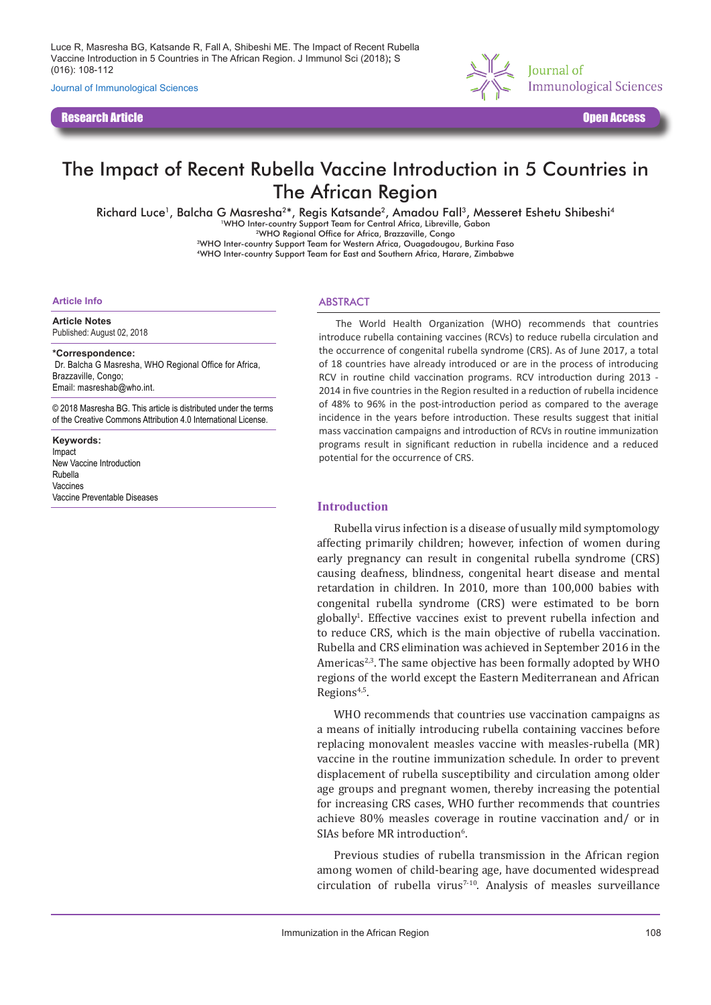Luce R, Masresha BG, Katsande R, Fall A, Shibeshi ME. The Impact of Recent Rubella Vaccine Introduction in 5 Countries in The African Region. J Immunol Sci (2018)**;** S (016): 108-112

Journal of Immunological Sciences

Research Article Open Access



# The Impact of Recent Rubella Vaccine Introduction in 5 Countries in The African Region

Richard Luce<sup>1</sup>, Balcha G Masresha<sup>2\*</sup>, Regis Katsande<sup>2</sup>, Amadou Fall<sup>3</sup>, Messeret Eshetu Shibeshi<sup>4</sup>

<sup>1</sup>WHO Inter-country Support Team for Central Africa, Libreville, Gabon

2WHO Regional Office for Africa, Brazzaville, Congo 3WHO Inter-country Support Team for Western Africa, Ouagadougou, Burkina Faso

4WHO Inter-country Support Team for East and Southern Africa, Harare, Zimbabwe

#### **Article Info**

**Article Notes** Published: August 02, 2018

**\*Correspondence:** Dr. Balcha G Masresha, WHO Regional Office for Africa, Brazzaville, Congo; Email: masreshab@who.int.

© 2018 Masresha BG. This article is distributed under the terms of the Creative Commons Attribution 4.0 International License.

**Keywords:** Impact New Vaccine Introduction Rubella Vaccines Vaccine Preventable Diseases

#### ABSTRACT

The World Health Organization (WHO) recommends that countries introduce rubella containing vaccines (RCVs) to reduce rubella circulation and the occurrence of congenital rubella syndrome (CRS). As of June 2017, a total of 18 countries have already introduced or are in the process of introducing RCV in routine child vaccination programs. RCV introduction during 2013 - 2014 in five countries in the Region resulted in a reduction of rubella incidence of 48% to 96% in the post-introduction period as compared to the average incidence in the years before introduction. These results suggest that initial mass vaccination campaigns and introduction of RCVs in routine immunization programs result in significant reduction in rubella incidence and a reduced potential for the occurrence of CRS.

#### **Introduction**

Rubella virus infection is a disease of usually mild symptomology affecting primarily children; however, infection of women during early pregnancy can result in congenital rubella syndrome (CRS) causing deafness, blindness, congenital heart disease and mental retardation in children. In 2010, more than 100,000 babies with congenital rubella syndrome (CRS) were estimated to be born globally<sup>1</sup>. Effective vaccines exist to prevent rubella infection and to reduce CRS, which is the main objective of rubella vaccination. Rubella and CRS elimination was achieved in September 2016 in the Americas<sup>2,3</sup>. The same objective has been formally adopted by WHO regions of the world except the Eastern Mediterranean and African Regions<sup>4,5</sup>.

WHO recommends that countries use vaccination campaigns as a means of initially introducing rubella containing vaccines before replacing monovalent measles vaccine with measles-rubella (MR) vaccine in the routine immunization schedule. In order to prevent displacement of rubella susceptibility and circulation among older age groups and pregnant women, thereby increasing the potential for increasing CRS cases, WHO further recommends that countries achieve 80% measles coverage in routine vaccination and/ or in SIAs before MR introduction<sup>6</sup>.

Previous studies of rubella transmission in the African region among women of child-bearing age, have documented widespread circulation of rubella virus<sup>7-10</sup>. Analysis of measles surveillance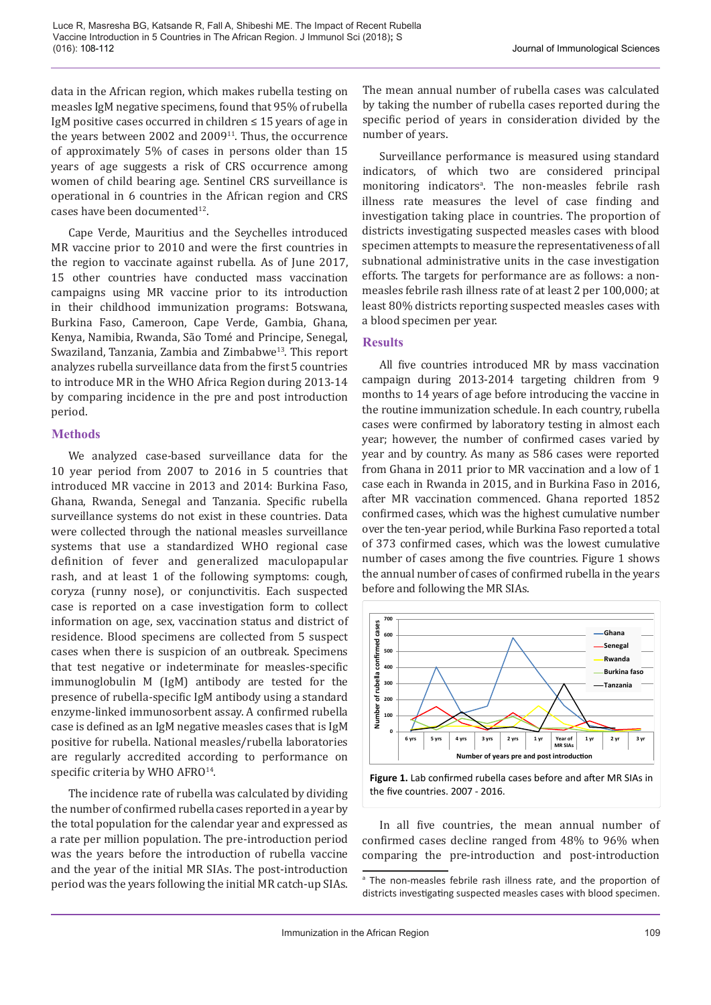data in the African region, which makes rubella testing on measles IgM negative specimens, found that 95% of rubella IgM positive cases occurred in children ≤ 15 years of age in the years between 2002 and  $2009<sup>11</sup>$ . Thus, the occurrence of approximately 5% of cases in persons older than 15 years of age suggests a risk of CRS occurrence among women of child bearing age. Sentinel CRS surveillance is operational in 6 countries in the African region and CRS cases have been documented<sup>12</sup>.

Cape Verde, Mauritius and the Seychelles introduced MR vaccine prior to 2010 and were the first countries in the region to vaccinate against rubella. As of June 2017, 15 other countries have conducted mass vaccination campaigns using MR vaccine prior to its introduction in their childhood immunization programs: Botswana, Burkina Faso, Cameroon, Cape Verde, Gambia, Ghana, Kenya, Namibia, Rwanda, São Tomé and Principe, Senegal, Swaziland, Tanzania, Zambia and Zimbabwe<sup>13</sup>. This report analyzes rubella surveillance data from the first 5 countries to introduce MR in the WHO Africa Region during 2013-14 by comparing incidence in the pre and post introduction period.

#### **Methods**

We analyzed case-based surveillance data for the 10 year period from 2007 to 2016 in 5 countries that introduced MR vaccine in 2013 and 2014: Burkina Faso, Ghana, Rwanda, Senegal and Tanzania. Specific rubella surveillance systems do not exist in these countries. Data were collected through the national measles surveillance systems that use a standardized WHO regional case definition of fever and generalized maculopapular rash, and at least 1 of the following symptoms: cough, coryza (runny nose), or conjunctivitis. Each suspected case is reported on a case investigation form to collect information on age, sex, vaccination status and district of residence. Blood specimens are collected from 5 suspect cases when there is suspicion of an outbreak. Specimens that test negative or indeterminate for measles-specific immunoglobulin M (IgM) antibody are tested for the presence of rubella-specific IgM antibody using a standard enzyme-linked immunosorbent assay. A confirmed rubella case is defined as an IgM negative measles cases that is IgM positive for rubella. National measles/rubella laboratories are regularly accredited according to performance on specific criteria by WHO AFRO<sup>14</sup>.

The incidence rate of rubella was calculated by dividing the number of confirmed rubella cases reported in a year by the total population for the calendar year and expressed as a rate per million population. The pre-introduction period was the years before the introduction of rubella vaccine and the year of the initial MR SIAs. The post-introduction period was the years following the initial MR catch-up SIAs. The mean annual number of rubella cases was calculated by taking the number of rubella cases reported during the specific period of years in consideration divided by the number of years.

Surveillance performance is measured using standard indicators, of which two are considered principal monitoring indicators<sup>a</sup>. The non-measles febrile rash illness rate measures the level of case finding and investigation taking place in countries. The proportion of districts investigating suspected measles cases with blood specimen attempts to measure the representativeness of all subnational administrative units in the case investigation efforts. The targets for performance are as follows: a nonmeasles febrile rash illness rate of at least 2 per 100,000; at least 80% districts reporting suspected measles cases with a blood specimen per year.

#### **Results**

All five countries introduced MR by mass vaccination campaign during 2013-2014 targeting children from 9 months to 14 years of age before introducing the vaccine in the routine immunization schedule. In each country, rubella cases were confirmed by laboratory testing in almost each year; however, the number of confirmed cases varied by year and by country. As many as 586 cases were reported from Ghana in 2011 prior to MR vaccination and a low of 1 case each in Rwanda in 2015, and in Burkina Faso in 2016, after MR vaccination commenced. Ghana reported 1852 confirmed cases, which was the highest cumulative number over the ten-year period, while Burkina Faso reported a total of 373 confirmed cases, which was the lowest cumulative number of cases among the five countries. Figure 1 shows the annual number of cases of confirmed rubella in the years before and following the MR SIAs.



**Figure 1.** Lab confirmed rubella cases before and after MR SIAs in the five countries. 2007 - 2016.

In all five countries, the mean annual number of confirmed cases decline ranged from 48% to 96% when comparing the pre-introduction and post-introduction

a The non-measles febrile rash illness rate, and the proportion of districts investigating suspected measles cases with blood specimen.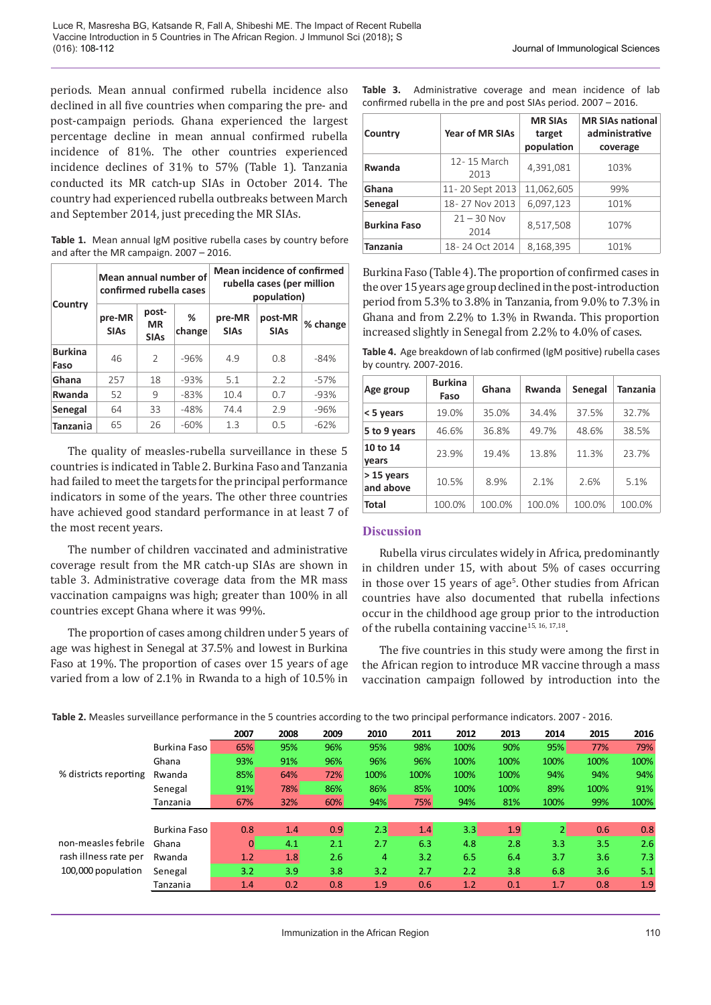periods. Mean annual confirmed rubella incidence also declined in all five countries when comparing the pre- and post-campaign periods. Ghana experienced the largest percentage decline in mean annual confirmed rubella incidence of 81%. The other countries experienced incidence declines of 31% to 57% (Table 1). Tanzania conducted its MR catch-up SIAs in October 2014. The country had experienced rubella outbreaks between March and September 2014, just preceding the MR SIAs.

**Table 1.** Mean annual IgM positive rubella cases by country before and after the MR campaign. 2007 – 2016.

| Country                | Mean annual number of<br>confirmed rubella cases |                                   |             | Mean incidence of confirmed<br>rubella cases (per million<br>population) |                        |          |  |  |
|------------------------|--------------------------------------------------|-----------------------------------|-------------|--------------------------------------------------------------------------|------------------------|----------|--|--|
|                        | pre-MR<br><b>SIAs</b>                            | post-<br><b>MR</b><br><b>SIAs</b> | ℅<br>change | pre-MR<br><b>SIAs</b>                                                    | post-MR<br><b>SIAs</b> | % change |  |  |
| <b>Burkina</b><br>Faso | 46                                               | $\mathcal{P}$                     | -96%        | 4.9                                                                      | 0.8                    | $-84%$   |  |  |
| Ghana                  | 257                                              | 18                                | -93%        | 5.1                                                                      | 2.2                    | $-57%$   |  |  |
| Rwanda                 | 52                                               | 9                                 | -83%        | 10.4                                                                     | 0.7                    | $-93%$   |  |  |
| Senegal                | 64                                               | 33                                | -48%        | 74.4                                                                     | 2.9                    | -96%     |  |  |
| <b>Tanzania</b>        | 65                                               | 26                                | $-60%$      | 1.3                                                                      | 0.5                    | $-62%$   |  |  |

The quality of measles-rubella surveillance in these 5 countries is indicated in Table 2. Burkina Faso and Tanzania had failed to meet the targets for the principal performance indicators in some of the years. The other three countries have achieved good standard performance in at least 7 of the most recent years.

The number of children vaccinated and administrative coverage result from the MR catch-up SIAs are shown in table 3. Administrative coverage data from the MR mass vaccination campaigns was high; greater than 100% in all countries except Ghana where it was 99%.

The proportion of cases among children under 5 years of age was highest in Senegal at 37.5% and lowest in Burkina Faso at 19%. The proportion of cases over 15 years of age varied from a low of 2.1% in Rwanda to a high of 10.5% in

| Table 3.                                                           |  | Administrative coverage and mean incidence of lab |  |  |  |  |  |  |
|--------------------------------------------------------------------|--|---------------------------------------------------|--|--|--|--|--|--|
| confirmed rubella in the pre and post SIAs period. $2007 - 2016$ . |  |                                                   |  |  |  |  |  |  |

| Country             | <b>Year of MR SIAs</b> | <b>MR SIAs</b><br>target<br>population | <b>MR SIAs national</b><br>administrative<br>coverage |  |  |
|---------------------|------------------------|----------------------------------------|-------------------------------------------------------|--|--|
| Rwanda              | 12-15 March<br>2013    | 4,391,081                              | 103%                                                  |  |  |
| Ghana               | 11-20 Sept 2013        | 11,062,605                             | 99%                                                   |  |  |
| Senegal             | 18-27 Nov 2013         | 6,097,123                              | 101%                                                  |  |  |
| <b>Burkina Faso</b> | $21 - 30$ Nov<br>2014  | 8,517,508                              | 107%                                                  |  |  |
| <b>Tanzania</b>     | 18-24 Oct 2014         | 8,168,395                              | 101%                                                  |  |  |

Burkina Faso (Table 4). The proportion of confirmed cases in the over 15 years age group declined in the post-introduction period from 5.3% to 3.8% in Tanzania, from 9.0% to 7.3% in Ghana and from 2.2% to 1.3% in Rwanda. This proportion increased slightly in Senegal from 2.2% to 4.0% of cases.

**Table 4.** Age breakdown of lab confirmed (IgM positive) rubella cases by country. 2007-2016.

| Age group               | <b>Burkina</b><br>Faso | Ghana  | Rwanda | Senegal | Tanzania |
|-------------------------|------------------------|--------|--------|---------|----------|
| < 5 years               | 19.0%                  | 35.0%  | 34.4%  | 37.5%   | 32.7%    |
| 5 to 9 years            | 46.6%                  | 36.8%  | 49.7%  | 48.6%   | 38.5%    |
| 10 to 14<br>vears       | 23.9%                  | 19.4%  | 13.8%  | 11.3%   | 23.7%    |
| > 15 years<br>and above | 10.5%                  | 8.9%   | 2.1%   | 2.6%    | 5.1%     |
| Total                   | 100.0%                 | 100.0% | 100.0% | 100.0%  | 100.0%   |

#### **Discussion**

Rubella virus circulates widely in Africa, predominantly in children under 15, with about 5% of cases occurring in those over 15 years of age<sup>5</sup>. Other studies from African countries have also documented that rubella infections occur in the childhood age group prior to the introduction of the rubella containing vaccine<sup>15, 16, 17,18</sup>.

The five countries in this study were among the first in the African region to introduce MR vaccine through a mass vaccination campaign followed by introduction into the

|                                                                    |              | 2007           | 2008 | 2009 | 2010 | 2011 | 2012 | 2013 | 2014 | 2015 | 2016 |
|--------------------------------------------------------------------|--------------|----------------|------|------|------|------|------|------|------|------|------|
|                                                                    | Burkina Faso | 65%            | 95%  | 96%  | 95%  | 98%  | 100% | 90%  | 95%  | 77%  | 79%  |
|                                                                    | Ghana        | 93%            | 91%  | 96%  | 96%  | 96%  | 100% | 100% | 100% | 100% | 100% |
| % districts reporting                                              | Rwanda       | 85%            | 64%  | 72%  | 100% | 100% | 100% | 100% | 94%  | 94%  | 94%  |
|                                                                    | Senegal      | 91%            | 78%  | 86%  | 86%  | 85%  | 100% | 100% | 89%  | 100% | 91%  |
|                                                                    | Tanzania     | 67%            | 32%  | 60%  | 94%  | 75%  | 94%  | 81%  | 100% | 99%  | 100% |
|                                                                    |              |                |      |      |      |      |      |      |      |      |      |
|                                                                    | Burkina Faso | 0.8            | 1.4  | 0.9  | 2.3  | 1.4  | 3.3  | 1.9  |      | 0.6  | 0.8  |
| non-measles febrile<br>rash illness rate per<br>100,000 population | Ghana        | $\overline{0}$ | 4.1  | 2.1  | 2.7  | 6.3  | 4.8  | 2.8  | 3.3  | 3.5  | 2.6  |
|                                                                    | Rwanda       | 1.2            | 1.8  | 2.6  | 4    | 3.2  | 6.5  | 6.4  | 3.7  | 3.6  | 7.3  |
|                                                                    | Senegal      | 3.2            | 3.9  | 3.8  | 3.2  | 2.7  | 2.2  | 3.8  | 6.8  | 3.6  | 5.1  |
|                                                                    | Tanzania     | 1.4            | 0.2  | 0.8  | 1.9  | 0.6  | 1.2  | 0.1  | 1.7  | 0.8  | 1.9  |

**Table 2.** Measles surveillance performance in the 5 countries according to the two principal performance indicators. 2007 - 2016.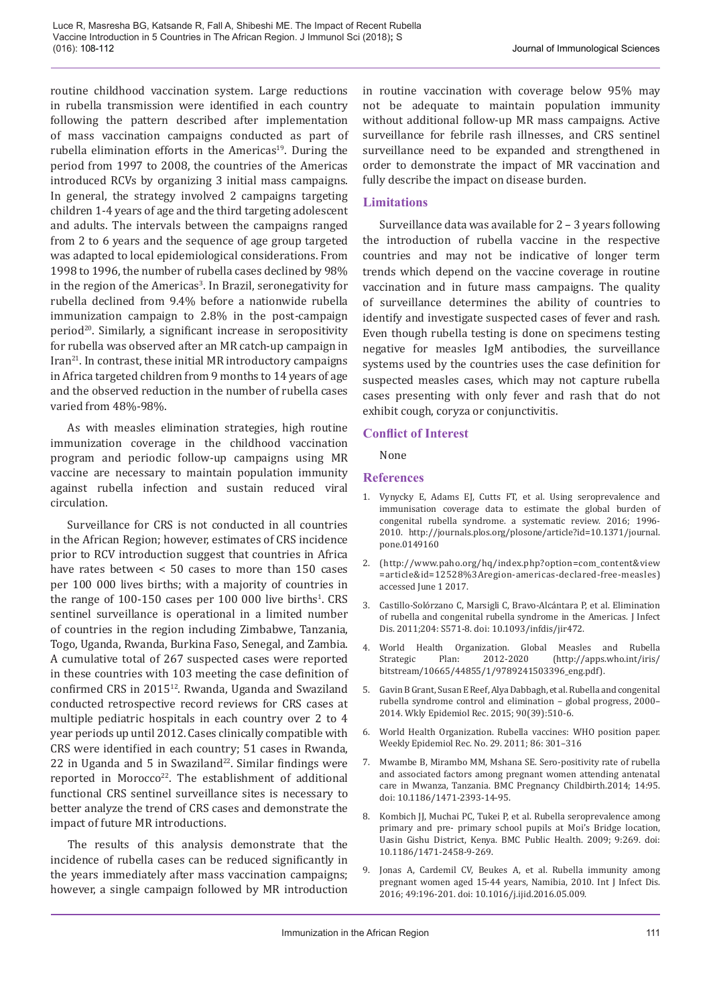routine childhood vaccination system. Large reductions in rubella transmission were identified in each country following the pattern described after implementation of mass vaccination campaigns conducted as part of rubella elimination efforts in the Americas<sup>19</sup>. During the period from 1997 to 2008, the countries of the Americas introduced RCVs by organizing 3 initial mass campaigns. In general, the strategy involved 2 campaigns targeting children 1-4 years of age and the third targeting adolescent and adults. The intervals between the campaigns ranged from 2 to 6 years and the sequence of age group targeted was adapted to local epidemiological considerations. From 1998 to 1996, the number of rubella cases declined by 98% in the region of the Americas<sup>3</sup>. In Brazil, seronegativity for rubella declined from 9.4% before a nationwide rubella immunization campaign to 2.8% in the post-campaign period<sup>20</sup>. Similarly, a significant increase in seropositivity for rubella was observed after an MR catch-up campaign in  $Iran<sup>21</sup>$ . In contrast, these initial MR introductory campaigns in Africa targeted children from 9 months to 14 years of age and the observed reduction in the number of rubella cases varied from 48%-98%.

As with measles elimination strategies, high routine immunization coverage in the childhood vaccination program and periodic follow-up campaigns using MR vaccine are necessary to maintain population immunity against rubella infection and sustain reduced viral circulation.

Surveillance for CRS is not conducted in all countries in the African Region; however, estimates of CRS incidence prior to RCV introduction suggest that countries in Africa have rates between < 50 cases to more than 150 cases per 100 000 lives births; with a majority of countries in the range of  $100-150$  cases per  $100\,000$  live births<sup>1</sup>. CRS sentinel surveillance is operational in a limited number of countries in the region including Zimbabwe, Tanzania, Togo, Uganda, Rwanda, Burkina Faso, Senegal, and Zambia. A cumulative total of 267 suspected cases were reported in these countries with 103 meeting the case definition of confirmed CRS in 201512. Rwanda, Uganda and Swaziland conducted retrospective record reviews for CRS cases at multiple pediatric hospitals in each country over 2 to 4 year periods up until 2012. Cases clinically compatible with CRS were identified in each country; 51 cases in Rwanda, 22 in Uganda and 5 in Swaziland $22$ . Similar findings were reported in Morocco<sup>22</sup>. The establishment of additional functional CRS sentinel surveillance sites is necessary to better analyze the trend of CRS cases and demonstrate the impact of future MR introductions.

The results of this analysis demonstrate that the incidence of rubella cases can be reduced significantly in the years immediately after mass vaccination campaigns; however, a single campaign followed by MR introduction

in routine vaccination with coverage below 95% may not be adequate to maintain population immunity without additional follow-up MR mass campaigns. Active surveillance for febrile rash illnesses, and CRS sentinel surveillance need to be expanded and strengthened in order to demonstrate the impact of MR vaccination and fully describe the impact on disease burden.

## **Limitations**

Surveillance data was available for 2 – 3 years following the introduction of rubella vaccine in the respective countries and may not be indicative of longer term trends which depend on the vaccine coverage in routine vaccination and in future mass campaigns. The quality of surveillance determines the ability of countries to identify and investigate suspected cases of fever and rash. Even though rubella testing is done on specimens testing negative for measles IgM antibodies, the surveillance systems used by the countries uses the case definition for suspected measles cases, which may not capture rubella cases presenting with only fever and rash that do not exhibit cough, coryza or conjunctivitis.

## **Conflict of Interest**

None

## **References**

- 1. Vynycky E, Adams EJ, Cutts FT, et al. Using seroprevalence and immunisation coverage data to estimate the global burden of congenital rubella syndrome. a systematic review. 2016; 1996- 2010. http://journals.plos.org/plosone/article?id=10.1371/journal. pone.0149160
- 2. (http://www.paho.org/hq/index.php?option=com\_content&view =article&id=12528%3Aregion-americas-declared-free-measles) accessed June 1 2017.
- 3. Castillo-Solórzano C, Marsigli C, Bravo-Alcántara P, et al. Elimination of rubella and congenital rubella syndrome in the Americas. J Infect Dis. 2011;204: S571-8. doi: 10.1093/infdis/jir472.
- 4. World Health Organization. Global Measles and Rubella (http://apps.who.int/iris/ bitstream/10665/44855/1/9789241503396\_eng.pdf).
- 5. Gavin B Grant, Susan E Reef, Alya Dabbagh, et al. Rubella and congenital rubella syndrome control and elimination – global progress, 2000– 2014. Wkly Epidemiol Rec. 2015; 90(39):510-6.
- 6. World Health Organization. Rubella vaccines: WHO position paper. Weekly Epidemiol Rec. No. 29. 2011; 86: 301–316
- 7. Mwambe B, Mirambo MM, Mshana SE. Sero-positivity rate of rubella and associated factors among pregnant women attending antenatal care in Mwanza, Tanzania. BMC Pregnancy Childbirth.2014; 14:95. doi: 10.1186/1471-2393-14-95.
- 8. Kombich JJ, Muchai PC, Tukei P, et al. Rubella seroprevalence among primary and pre- primary school pupils at Moi's Bridge location, Uasin Gishu District, Kenya. BMC Public Health. 2009; 9:269. doi: 10.1186/1471-2458-9-269.
- 9. Jonas A, Cardemil CV, Beukes A, et al. Rubella immunity among pregnant women aged 15-44 years, Namibia, 2010. Int J Infect Dis. 2016; 49:196-201. doi: 10.1016/j.ijid.2016.05.009.